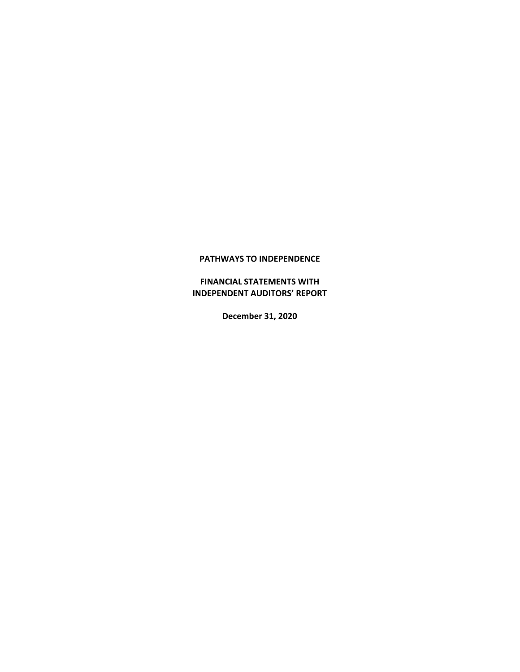**FINANCIAL STATEMENTS WITH INDEPENDENT AUDITORS' REPORT**

**December 31, 2020**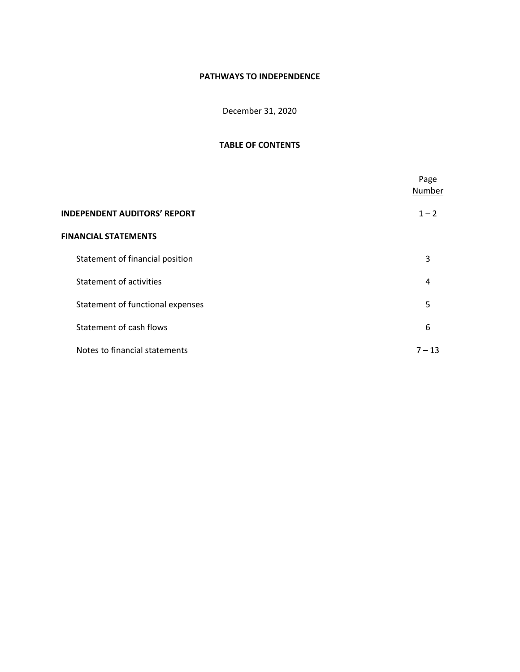December 31, 2020

# **TABLE OF CONTENTS**

|                                     | Page<br>Number |
|-------------------------------------|----------------|
| <b>INDEPENDENT AUDITORS' REPORT</b> | $1 - 2$        |
| <b>FINANCIAL STATEMENTS</b>         |                |
| Statement of financial position     | 3              |
| <b>Statement of activities</b>      | 4              |
| Statement of functional expenses    | 5              |
| Statement of cash flows             | 6              |
| Notes to financial statements       | $7 - 13$       |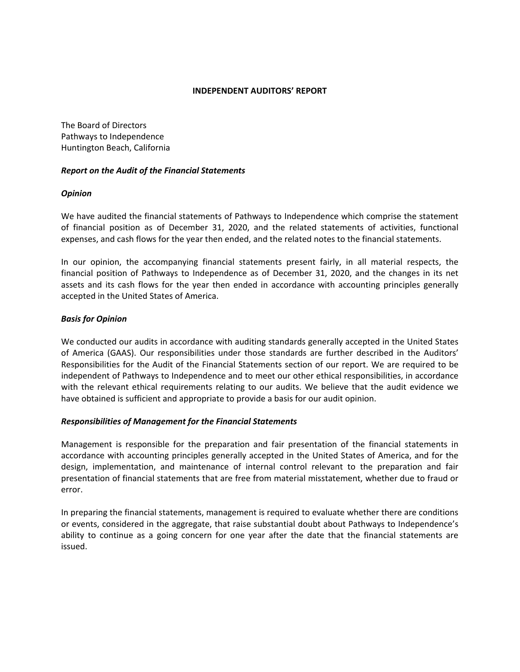#### **INDEPENDENT AUDITORS' REPORT**

The Board of Directors Pathways to Independence Huntington Beach, California

# *Report on the Audit of the Financial Statements*

# *Opinion*

We have audited the financial statements of Pathways to Independence which comprise the statement of financial position as of December 31, 2020, and the related statements of activities, functional expenses, and cash flows for the year then ended, and the related notes to the financial statements.

In our opinion, the accompanying financial statements present fairly, in all material respects, the financial position of Pathways to Independence as of December 31, 2020, and the changes in its net assets and its cash flows for the year then ended in accordance with accounting principles generally accepted in the United States of America.

# *Basis for Opinion*

We conducted our audits in accordance with auditing standards generally accepted in the United States of America (GAAS). Our responsibilities under those standards are further described in the Auditors' Responsibilities for the Audit of the Financial Statements section of our report. We are required to be independent of Pathways to Independence and to meet our other ethical responsibilities, in accordance with the relevant ethical requirements relating to our audits. We believe that the audit evidence we have obtained is sufficient and appropriate to provide a basis for our audit opinion.

# *Responsibilities of Management for the Financial Statements*

Management is responsible for the preparation and fair presentation of the financial statements in accordance with accounting principles generally accepted in the United States of America, and for the design, implementation, and maintenance of internal control relevant to the preparation and fair presentation of financial statements that are free from material misstatement, whether due to fraud or error.

In preparing the financial statements, management is required to evaluate whether there are conditions or events, considered in the aggregate, that raise substantial doubt about Pathways to Independence's ability to continue as a going concern for one year after the date that the financial statements are issued.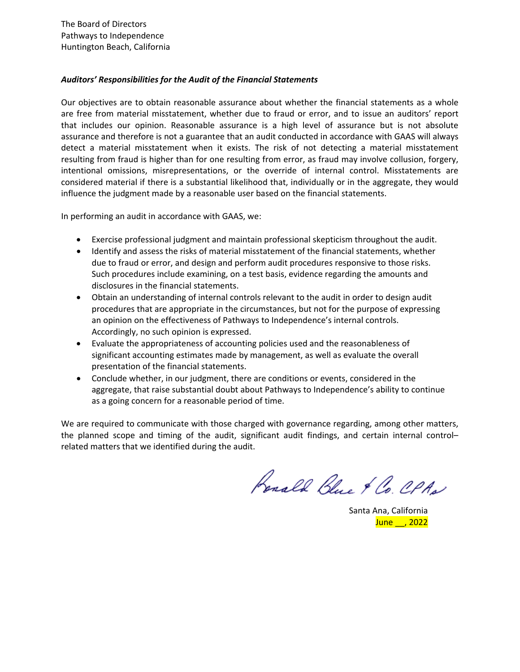The Board of Directors Pathways to Independence Huntington Beach, California

# *Auditors' Responsibilities for the Audit of the Financial Statements*

Our objectives are to obtain reasonable assurance about whether the financial statements as a whole are free from material misstatement, whether due to fraud or error, and to issue an auditors' report that includes our opinion. Reasonable assurance is a high level of assurance but is not absolute assurance and therefore is not a guarantee that an audit conducted in accordance with GAAS will always detect a material misstatement when it exists. The risk of not detecting a material misstatement resulting from fraud is higher than for one resulting from error, as fraud may involve collusion, forgery, intentional omissions, misrepresentations, or the override of internal control. Misstatements are considered material if there is a substantial likelihood that, individually or in the aggregate, they would influence the judgment made by a reasonable user based on the financial statements.

In performing an audit in accordance with GAAS, we:

- Exercise professional judgment and maintain professional skepticism throughout the audit.
- Identify and assess the risks of material misstatement of the financial statements, whether due to fraud or error, and design and perform audit procedures responsive to those risks. Such procedures include examining, on a test basis, evidence regarding the amounts and disclosures in the financial statements.
- Obtain an understanding of internal controls relevant to the audit in order to design audit procedures that are appropriate in the circumstances, but not for the purpose of expressing an opinion on the effectiveness of Pathways to Independence's internal controls. Accordingly, no such opinion is expressed.
- Evaluate the appropriateness of accounting policies used and the reasonableness of significant accounting estimates made by management, as well as evaluate the overall presentation of the financial statements.
- Conclude whether, in our judgment, there are conditions or events, considered in the aggregate, that raise substantial doubt about Pathways to Independence's ability to continue as a going concern for a reasonable period of time.

We are required to communicate with those charged with governance regarding, among other matters, the planned scope and timing of the audit, significant audit findings, and certain internal control– related matters that we identified during the audit.

Renald Blue & Co. CPAN

Santa Ana, California June \_\_, 2022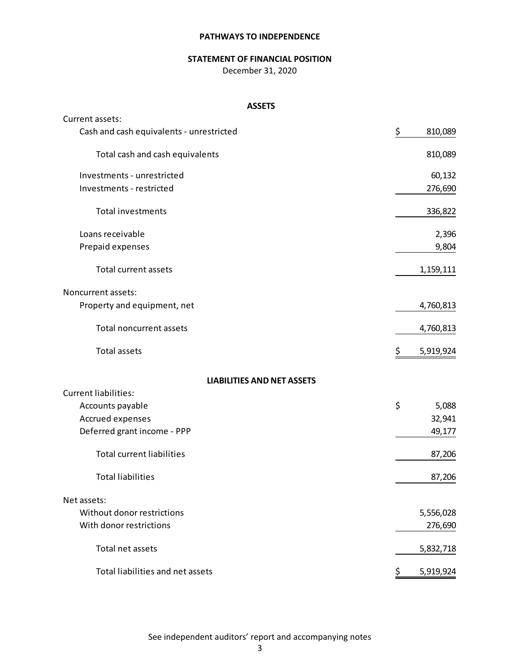# **STATEMENT OF FINANCIAL POSITION**

December 31, 2020

#### **ASSETS**

| Current assets:                          |                 |
|------------------------------------------|-----------------|
| Cash and cash equivalents - unrestricted | \$<br>810,089   |
| Total cash and cash equivalents          | 810,089         |
| Investments - unrestricted               | 60,132          |
| Investments - restricted                 | 276,690         |
| <b>Total investments</b>                 | 336,822         |
| Loans receivable                         | 2,396           |
| Prepaid expenses                         | 9,804           |
| <b>Total current assets</b>              | 1,159,111       |
| Noncurrent assets:                       |                 |
| Property and equipment, net              | 4,760,813       |
| <b>Total noncurrent assets</b>           | 4,760,813       |
| <b>Total assets</b>                      | Ş<br>5,919,924  |
| <b>LIABILITIES AND NET ASSETS</b>        |                 |
| <b>Current liabilities:</b>              |                 |
| Accounts payable                         | \$<br>5,088     |
| Accrued expenses                         | 32,941          |
| Deferred grant income - PPP              | 49,177          |
| <b>Total current liabilities</b>         | 87,206          |
| <b>Total liabilities</b>                 | 87,206          |
| Net assets:                              |                 |
| Without donor restrictions               | 5,556,028       |
| With donor restrictions                  | 276,690         |
| Total net assets                         | 5,832,718       |
| Total liabilities and net assets         | \$<br>5,919,924 |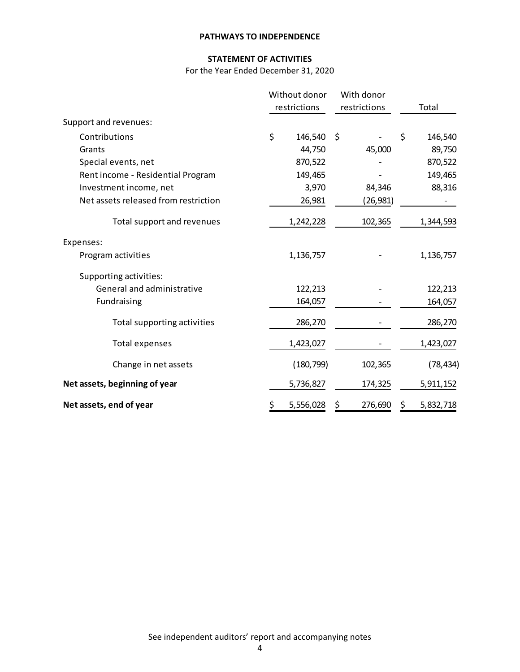# **STATEMENT OF ACTIVITIES**

For the Year Ended December 31, 2020

|                                      | Without donor<br>restrictions |               | With donor<br>restrictions | Total           |
|--------------------------------------|-------------------------------|---------------|----------------------------|-----------------|
| Support and revenues:                |                               |               |                            |                 |
| Contributions                        | \$                            | 146,540<br>\$ |                            | \$<br>146,540   |
| Grants                               |                               | 44,750        | 45,000                     | 89,750          |
| Special events, net                  |                               | 870,522       |                            | 870,522         |
| Rent income - Residential Program    |                               | 149,465       |                            | 149,465         |
| Investment income, net               |                               | 3,970         | 84,346                     | 88,316          |
| Net assets released from restriction |                               | 26,981        | (26,981)                   |                 |
| Total support and revenues           |                               | 1,242,228     | 102,365                    | 1,344,593       |
| Expenses:                            |                               |               |                            |                 |
| Program activities                   |                               | 1,136,757     |                            | 1,136,757       |
| Supporting activities:               |                               |               |                            |                 |
| General and administrative           |                               | 122,213       |                            | 122,213         |
| Fundraising                          |                               | 164,057       |                            | 164,057         |
| Total supporting activities          |                               | 286,270       |                            | 286,270         |
| <b>Total expenses</b>                |                               | 1,423,027     |                            | 1,423,027       |
| Change in net assets                 |                               | (180, 799)    | 102,365                    | (78, 434)       |
| Net assets, beginning of year        |                               | 5,736,827     | 174,325                    | 5,911,152       |
| Net assets, end of year              | \$                            | 5,556,028     | 276,690                    | \$<br>5,832,718 |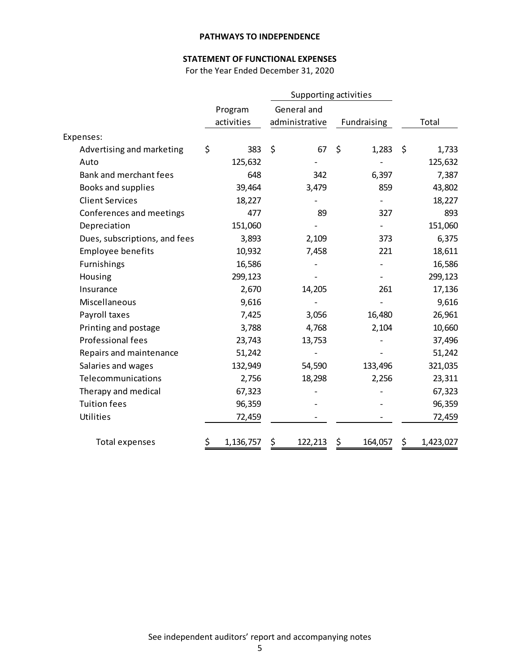# **STATEMENT OF FUNCTIONAL EXPENSES**

For the Year Ended December 31, 2020

|                               |                 | Supporting activities |                |    |             |                 |
|-------------------------------|-----------------|-----------------------|----------------|----|-------------|-----------------|
|                               | Program         |                       | General and    |    |             |                 |
|                               | activities      |                       | administrative |    | Fundraising | Total           |
| Expenses:                     |                 |                       |                |    |             |                 |
| Advertising and marketing     | \$<br>383       | \$                    | 67             | \$ | 1,283       | \$<br>1,733     |
| Auto                          | 125,632         |                       |                |    |             | 125,632         |
| Bank and merchant fees        | 648             |                       | 342            |    | 6,397       | 7,387           |
| Books and supplies            | 39,464          |                       | 3,479          |    | 859         | 43,802          |
| <b>Client Services</b>        | 18,227          |                       |                |    |             | 18,227          |
| Conferences and meetings      | 477             |                       | 89             |    | 327         | 893             |
| Depreciation                  | 151,060         |                       |                |    |             | 151,060         |
| Dues, subscriptions, and fees | 3,893           |                       | 2,109          |    | 373         | 6,375           |
| <b>Employee benefits</b>      | 10,932          |                       | 7,458          |    | 221         | 18,611          |
| Furnishings                   | 16,586          |                       |                |    |             | 16,586          |
| Housing                       | 299,123         |                       |                |    |             | 299,123         |
| Insurance                     | 2,670           |                       | 14,205         |    | 261         | 17,136          |
| Miscellaneous                 | 9,616           |                       |                |    |             | 9,616           |
| Payroll taxes                 | 7,425           |                       | 3,056          |    | 16,480      | 26,961          |
| Printing and postage          | 3,788           |                       | 4,768          |    | 2,104       | 10,660          |
| Professional fees             | 23,743          |                       | 13,753         |    |             | 37,496          |
| Repairs and maintenance       | 51,242          |                       |                |    |             | 51,242          |
| Salaries and wages            | 132,949         |                       | 54,590         |    | 133,496     | 321,035         |
| Telecommunications            | 2,756           |                       | 18,298         |    | 2,256       | 23,311          |
| Therapy and medical           | 67,323          |                       |                |    |             | 67,323          |
| <b>Tuition fees</b>           | 96,359          |                       |                |    |             | 96,359          |
| Utilities                     | 72,459          |                       |                |    |             | 72,459          |
| Total expenses                | \$<br>1,136,757 | Ş                     | 122,213        | \$ | 164,057     | \$<br>1,423,027 |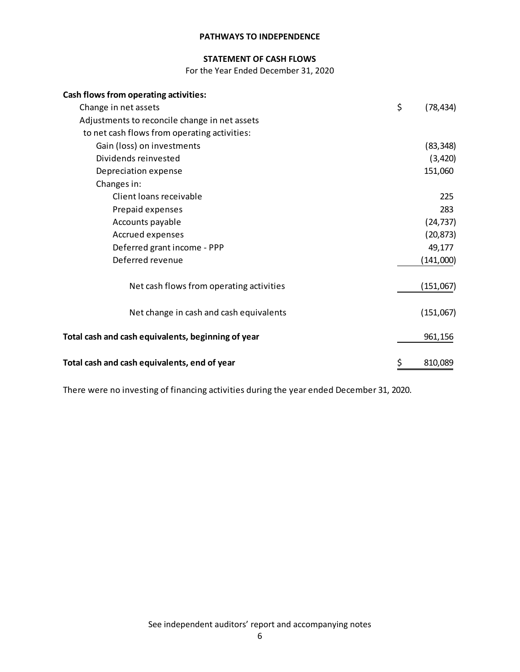# **STATEMENT OF CASH FLOWS**

For the Year Ended December 31, 2020

| Cash flows from operating activities:              |                 |
|----------------------------------------------------|-----------------|
| Change in net assets                               | \$<br>(78, 434) |
| Adjustments to reconcile change in net assets      |                 |
| to net cash flows from operating activities:       |                 |
| Gain (loss) on investments                         | (83, 348)       |
| Dividends reinvested                               | (3, 420)        |
| Depreciation expense                               | 151,060         |
| Changes in:                                        |                 |
| Client loans receivable                            | 225             |
| Prepaid expenses                                   | 283             |
| Accounts payable                                   | (24, 737)       |
| Accrued expenses                                   | (20, 873)       |
| Deferred grant income - PPP                        | 49,177          |
| Deferred revenue                                   | (141,000)       |
| Net cash flows from operating activities           | (151,067)       |
| Net change in cash and cash equivalents            | (151,067)       |
| Total cash and cash equivalents, beginning of year | 961,156         |
| Total cash and cash equivalents, end of year       | 810,089         |

There were no investing of financing activities during the year ended December 31, 2020.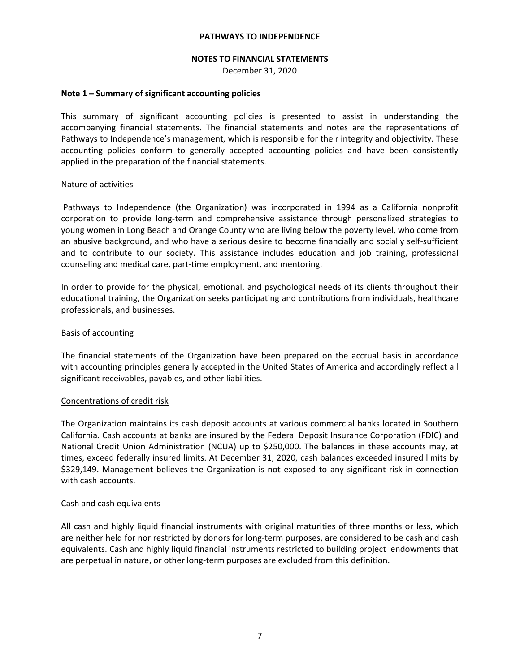## **NOTES TO FINANCIAL STATEMENTS**

December 31, 2020

## **Note 1 – Summary of significant accounting policies**

This summary of significant accounting policies is presented to assist in understanding the accompanying financial statements. The financial statements and notes are the representations of Pathways to Independence's management, which is responsible for their integrity and objectivity. These accounting policies conform to generally accepted accounting policies and have been consistently applied in the preparation of the financial statements.

#### Nature of activities

Pathways to Independence (the Organization) was incorporated in 1994 as a California nonprofit corporation to provide long‐term and comprehensive assistance through personalized strategies to young women in Long Beach and Orange County who are living below the poverty level, who come from an abusive background, and who have a serious desire to become financially and socially self‐sufficient and to contribute to our society. This assistance includes education and job training, professional counseling and medical care, part‐time employment, and mentoring.

In order to provide for the physical, emotional, and psychological needs of its clients throughout their educational training, the Organization seeks participating and contributions from individuals, healthcare professionals, and businesses.

# Basis of accounting

The financial statements of the Organization have been prepared on the accrual basis in accordance with accounting principles generally accepted in the United States of America and accordingly reflect all significant receivables, payables, and other liabilities.

#### Concentrations of credit risk

The Organization maintains its cash deposit accounts at various commercial banks located in Southern California. Cash accounts at banks are insured by the Federal Deposit Insurance Corporation (FDIC) and National Credit Union Administration (NCUA) up to \$250,000. The balances in these accounts may, at times, exceed federally insured limits. At December 31, 2020, cash balances exceeded insured limits by \$329,149. Management believes the Organization is not exposed to any significant risk in connection with cash accounts.

#### Cash and cash equivalents

All cash and highly liquid financial instruments with original maturities of three months or less, which are neither held for nor restricted by donors for long‐term purposes, are considered to be cash and cash equivalents. Cash and highly liquid financial instruments restricted to building project endowments that are perpetual in nature, or other long-term purposes are excluded from this definition.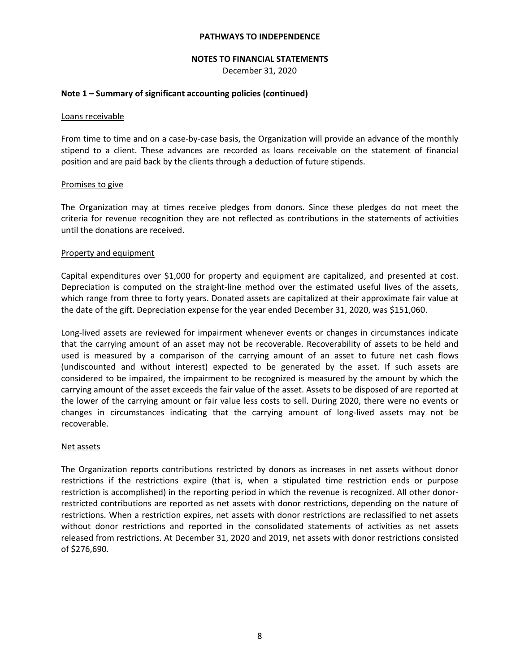#### **NOTES TO FINANCIAL STATEMENTS**

December 31, 2020

## **Note 1 – Summary of significant accounting policies (continued)**

#### Loans receivable

From time to time and on a case-by-case basis, the Organization will provide an advance of the monthly stipend to a client. These advances are recorded as loans receivable on the statement of financial position and are paid back by the clients through a deduction of future stipends.

#### Promises to give

The Organization may at times receive pledges from donors. Since these pledges do not meet the criteria for revenue recognition they are not reflected as contributions in the statements of activities until the donations are received.

#### Property and equipment

Capital expenditures over \$1,000 for property and equipment are capitalized, and presented at cost. Depreciation is computed on the straight-line method over the estimated useful lives of the assets, which range from three to forty years. Donated assets are capitalized at their approximate fair value at the date of the gift. Depreciation expense for the year ended December 31, 2020, was \$151,060.

Long‐lived assets are reviewed for impairment whenever events or changes in circumstances indicate that the carrying amount of an asset may not be recoverable. Recoverability of assets to be held and used is measured by a comparison of the carrying amount of an asset to future net cash flows (undiscounted and without interest) expected to be generated by the asset. If such assets are considered to be impaired, the impairment to be recognized is measured by the amount by which the carrying amount of the asset exceeds the fair value of the asset. Assets to be disposed of are reported at the lower of the carrying amount or fair value less costs to sell. During 2020, there were no events or changes in circumstances indicating that the carrying amount of long‐lived assets may not be recoverable.

#### Net assets

The Organization reports contributions restricted by donors as increases in net assets without donor restrictions if the restrictions expire (that is, when a stipulated time restriction ends or purpose restriction is accomplished) in the reporting period in which the revenue is recognized. All other donor‐ restricted contributions are reported as net assets with donor restrictions, depending on the nature of restrictions. When a restriction expires, net assets with donor restrictions are reclassified to net assets without donor restrictions and reported in the consolidated statements of activities as net assets released from restrictions. At December 31, 2020 and 2019, net assets with donor restrictions consisted of \$276,690.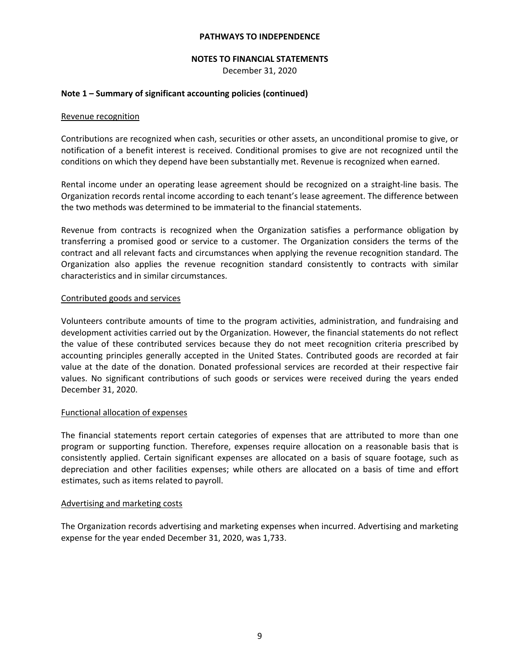## **NOTES TO FINANCIAL STATEMENTS**

December 31, 2020

# **Note 1 – Summary of significant accounting policies (continued)**

## Revenue recognition

Contributions are recognized when cash, securities or other assets, an unconditional promise to give, or notification of a benefit interest is received. Conditional promises to give are not recognized until the conditions on which they depend have been substantially met. Revenue is recognized when earned.

Rental income under an operating lease agreement should be recognized on a straight‐line basis. The Organization records rental income according to each tenant's lease agreement. The difference between the two methods was determined to be immaterial to the financial statements.

Revenue from contracts is recognized when the Organization satisfies a performance obligation by transferring a promised good or service to a customer. The Organization considers the terms of the contract and all relevant facts and circumstances when applying the revenue recognition standard. The Organization also applies the revenue recognition standard consistently to contracts with similar characteristics and in similar circumstances.

# Contributed goods and services

Volunteers contribute amounts of time to the program activities, administration, and fundraising and development activities carried out by the Organization. However, the financial statements do not reflect the value of these contributed services because they do not meet recognition criteria prescribed by accounting principles generally accepted in the United States. Contributed goods are recorded at fair value at the date of the donation. Donated professional services are recorded at their respective fair values. No significant contributions of such goods or services were received during the years ended December 31, 2020.

# Functional allocation of expenses

The financial statements report certain categories of expenses that are attributed to more than one program or supporting function. Therefore, expenses require allocation on a reasonable basis that is consistently applied. Certain significant expenses are allocated on a basis of square footage, such as depreciation and other facilities expenses; while others are allocated on a basis of time and effort estimates, such as items related to payroll.

#### Advertising and marketing costs

The Organization records advertising and marketing expenses when incurred. Advertising and marketing expense for the year ended December 31, 2020, was 1,733.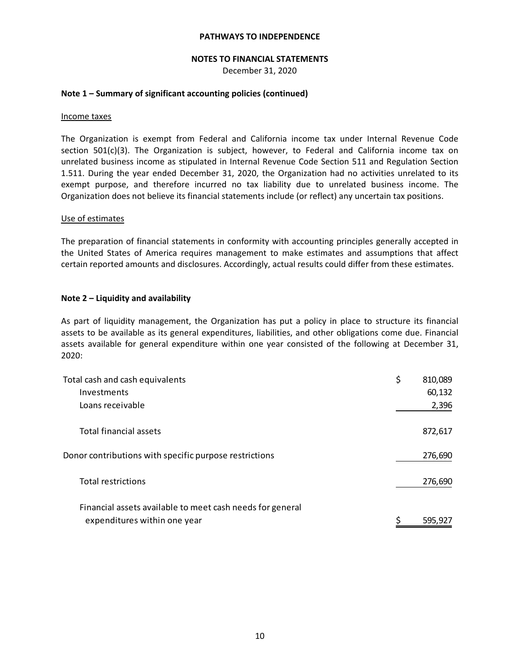#### **NOTES TO FINANCIAL STATEMENTS**

December 31, 2020

## **Note 1 – Summary of significant accounting policies (continued)**

#### Income taxes

The Organization is exempt from Federal and California income tax under Internal Revenue Code section 501(c)(3). The Organization is subject, however, to Federal and California income tax on unrelated business income as stipulated in Internal Revenue Code Section 511 and Regulation Section 1.511. During the year ended December 31, 2020, the Organization had no activities unrelated to its exempt purpose, and therefore incurred no tax liability due to unrelated business income. The Organization does not believe its financial statements include (or reflect) any uncertain tax positions.

#### Use of estimates

The preparation of financial statements in conformity with accounting principles generally accepted in the United States of America requires management to make estimates and assumptions that affect certain reported amounts and disclosures. Accordingly, actual results could differ from these estimates.

# **Note 2 – Liquidity and availability**

As part of liquidity management, the Organization has put a policy in place to structure its financial assets to be available as its general expenditures, liabilities, and other obligations come due. Financial assets available for general expenditure within one year consisted of the following at December 31, 2020:

| Total cash and cash equivalents                                                           | \$<br>810,089 |
|-------------------------------------------------------------------------------------------|---------------|
| Investments                                                                               | 60,132        |
| Loans receivable                                                                          | 2,396         |
| Total financial assets                                                                    | 872,617       |
| Donor contributions with specific purpose restrictions                                    | 276,690       |
| <b>Total restrictions</b>                                                                 | 276,690       |
| Financial assets available to meet cash needs for general<br>expenditures within one year | 595.927       |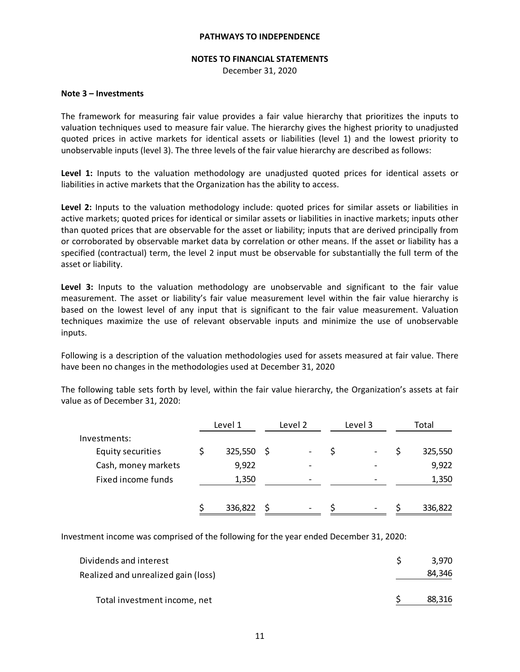#### **NOTES TO FINANCIAL STATEMENTS**

December 31, 2020

#### **Note 3 – Investments**

The framework for measuring fair value provides a fair value hierarchy that prioritizes the inputs to valuation techniques used to measure fair value. The hierarchy gives the highest priority to unadjusted quoted prices in active markets for identical assets or liabilities (level 1) and the lowest priority to unobservable inputs (level 3). The three levels of the fair value hierarchy are described as follows:

**Level 1:** Inputs to the valuation methodology are unadjusted quoted prices for identical assets or liabilities in active markets that the Organization has the ability to access.

**Level 2:** Inputs to the valuation methodology include: quoted prices for similar assets or liabilities in active markets; quoted prices for identical or similar assets or liabilities in inactive markets; inputs other than quoted prices that are observable for the asset or liability; inputs that are derived principally from or corroborated by observable market data by correlation or other means. If the asset or liability has a specified (contractual) term, the level 2 input must be observable for substantially the full term of the asset or liability.

**Level 3:** Inputs to the valuation methodology are unobservable and significant to the fair value measurement. The asset or liability's fair value measurement level within the fair value hierarchy is based on the lowest level of any input that is significant to the fair value measurement. Valuation techniques maximize the use of relevant observable inputs and minimize the use of unobservable inputs.

Following is a description of the valuation methodologies used for assets measured at fair value. There have been no changes in the methodologies used at December 31, 2020

The following table sets forth by level, within the fair value hierarchy, the Organization's assets at fair value as of December 31, 2020:

|                     | Level 1      | Level 2                  | Level 3 | Total   |
|---------------------|--------------|--------------------------|---------|---------|
| Investments:        |              |                          |         |         |
| Equity securities   | $325,550$ \$ |                          |         | 325,550 |
| Cash, money markets | 9,922        | $\overline{\phantom{0}}$ |         | 9,922   |
| Fixed income funds  | 1,350        | $\overline{\phantom{0}}$ |         | 1,350   |
|                     | 336,822      | ۰                        |         | 336,822 |

Investment income was comprised of the following for the year ended December 31, 2020:

| Total investment income, net        | 88,316 |
|-------------------------------------|--------|
| Realized and unrealized gain (loss) | 84.346 |
| Dividends and interest              | 3.970  |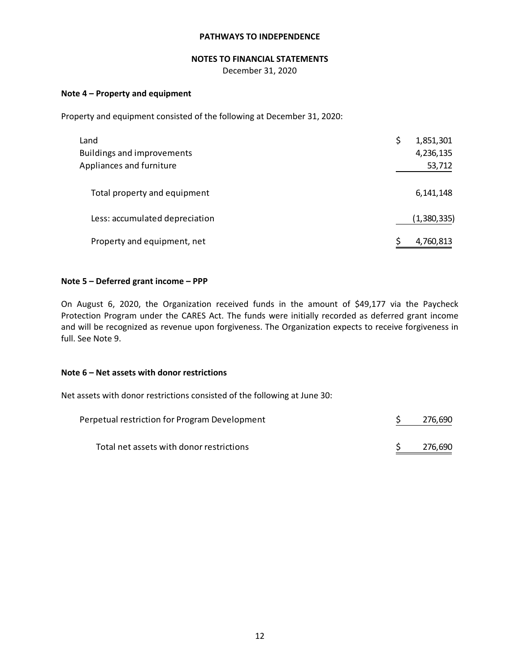# **NOTES TO FINANCIAL STATEMENTS**

December 31, 2020

# **Note 4 – Property and equipment**

Property and equipment consisted of the following at December 31, 2020:

| Land                              | \$<br>1,851,301 |
|-----------------------------------|-----------------|
| <b>Buildings and improvements</b> | 4,236,135       |
| Appliances and furniture          | 53,712          |
|                                   |                 |
| Total property and equipment      | 6,141,148       |
|                                   |                 |
| Less: accumulated depreciation    | (1,380,335)     |
|                                   |                 |
| Property and equipment, net       | 4,760,813       |

## **Note 5 – Deferred grant income – PPP**

On August 6, 2020, the Organization received funds in the amount of \$49,177 via the Paycheck Protection Program under the CARES Act. The funds were initially recorded as deferred grant income and will be recognized as revenue upon forgiveness. The Organization expects to receive forgiveness in full. See Note 9.

#### **Note 6 – Net assets with donor restrictions**

Net assets with donor restrictions consisted of the following at June 30:

| Perpetual restriction for Program Development | 276,690 |
|-----------------------------------------------|---------|
| Total net assets with donor restrictions      | 276,690 |